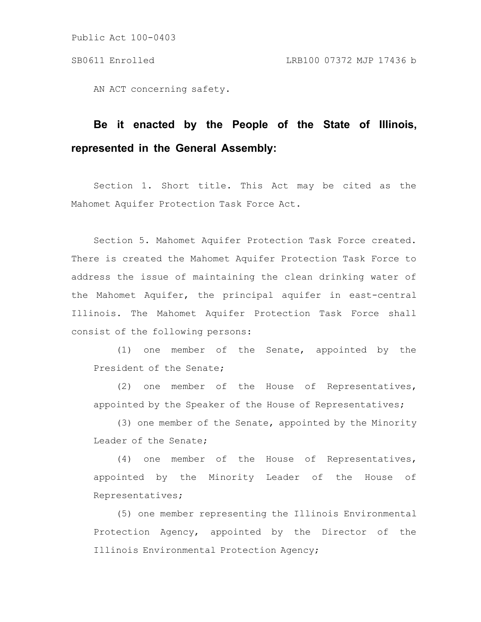Public Act 100-0403

AN ACT concerning safety.

## **Be it enacted by the People of the State of Illinois, represented in the General Assembly:**

Section 1. Short title. This Act may be cited as the Mahomet Aquifer Protection Task Force Act.

Section 5. Mahomet Aquifer Protection Task Force created. There is created the Mahomet Aquifer Protection Task Force to address the issue of maintaining the clean drinking water of the Mahomet Aquifer, the principal aquifer in east-central Illinois. The Mahomet Aquifer Protection Task Force shall consist of the following persons:

(1) one member of the Senate, appointed by the President of the Senate;

(2) one member of the House of Representatives, appointed by the Speaker of the House of Representatives;

(3) one member of the Senate, appointed by the Minority Leader of the Senate;

(4) one member of the House of Representatives, appointed by the Minority Leader of the House of Representatives;

(5) one member representing the Illinois Environmental Protection Agency, appointed by the Director of the Illinois Environmental Protection Agency;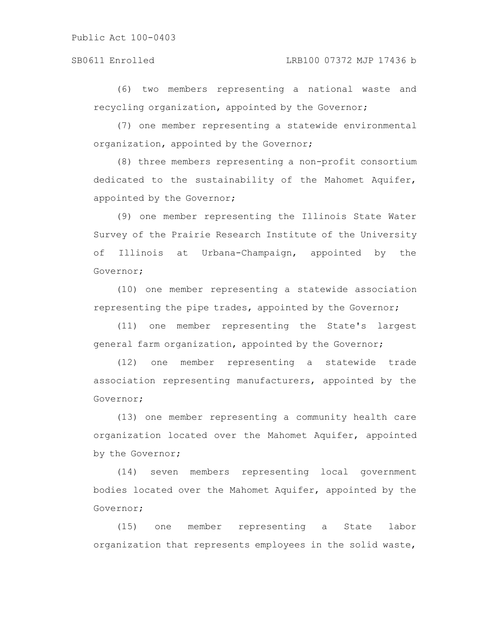## SB0611 Enrolled LRB100 07372 MJP 17436 b

(6) two members representing a national waste and recycling organization, appointed by the Governor;

(7) one member representing a statewide environmental organization, appointed by the Governor;

(8) three members representing a non-profit consortium dedicated to the sustainability of the Mahomet Aquifer, appointed by the Governor;

(9) one member representing the Illinois State Water Survey of the Prairie Research Institute of the University of Illinois at Urbana-Champaign, appointed by the Governor;

(10) one member representing a statewide association representing the pipe trades, appointed by the Governor;

(11) one member representing the State's largest general farm organization, appointed by the Governor;

(12) one member representing a statewide trade association representing manufacturers, appointed by the Governor;

(13) one member representing a community health care organization located over the Mahomet Aquifer, appointed by the Governor;

(14) seven members representing local government bodies located over the Mahomet Aquifer, appointed by the Governor;

(15) one member representing a State labor organization that represents employees in the solid waste,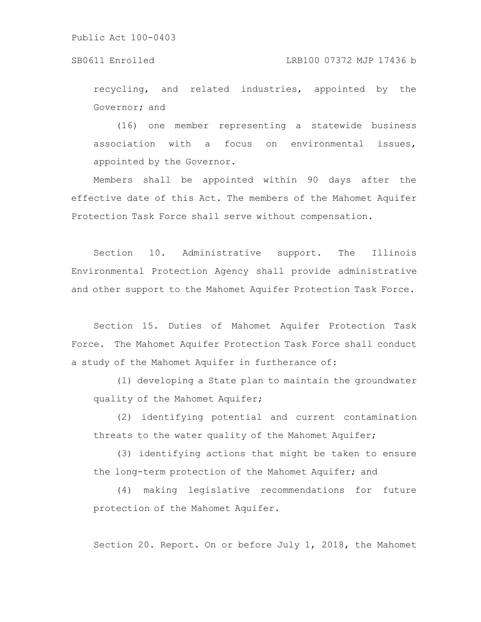recycling, and related industries, appointed by the Governor; and

(16) one member representing a statewide business association with a focus on environmental issues, appointed by the Governor.

Members shall be appointed within 90 days after the effective date of this Act. The members of the Mahomet Aquifer Protection Task Force shall serve without compensation.

Section 10. Administrative support. The Illinois Environmental Protection Agency shall provide administrative and other support to the Mahomet Aquifer Protection Task Force.

Section 15. Duties of Mahomet Aquifer Protection Task Force. The Mahomet Aquifer Protection Task Force shall conduct a study of the Mahomet Aquifer in furtherance of:

(1) developing a State plan to maintain the groundwater quality of the Mahomet Aquifer;

(2) identifying potential and current contamination threats to the water quality of the Mahomet Aquifer;

(3) identifying actions that might be taken to ensure the long-term protection of the Mahomet Aquifer; and

(4) making legislative recommendations for future protection of the Mahomet Aquifer.

Section 20. Report. On or before July 1, 2018, the Mahomet